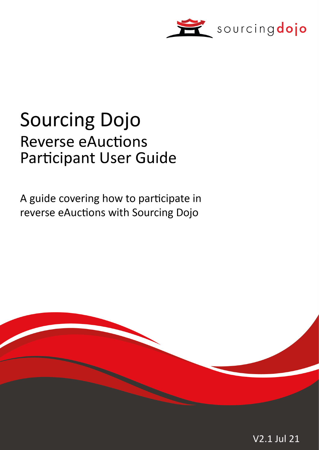

# **Sourcing Dojo Reverse eAuctions Participant User Guide**

A guide covering how to participate in reverse eAuctions with Sourcing Dojo

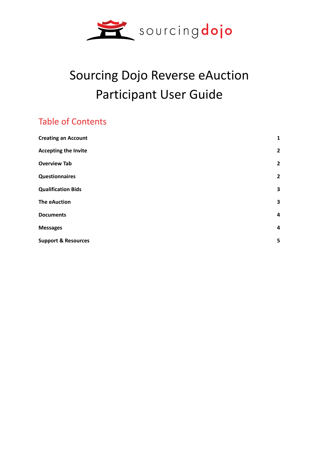

# Sourcing Dojo Reverse eAuction Participant User Guide

# Table of Contents

| <b>Creating an Account</b>     | $\mathbf 1$             |
|--------------------------------|-------------------------|
| <b>Accepting the Invite</b>    | $\overline{2}$          |
| <b>Overview Tab</b>            | $\overline{2}$          |
| <b>Questionnaires</b>          | $\overline{2}$          |
| <b>Qualification Bids</b>      | 3                       |
| <b>The eAuction</b>            | 3                       |
| <b>Documents</b>               | $\overline{\mathbf{4}}$ |
| <b>Messages</b>                | $\overline{\mathbf{4}}$ |
| <b>Support &amp; Resources</b> | 5                       |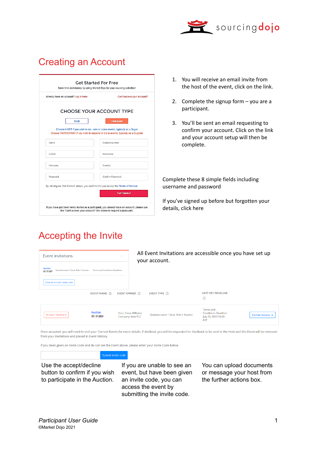

# Creating an Account

|                                                                                      | Can't access your account?                                                          |
|--------------------------------------------------------------------------------------|-------------------------------------------------------------------------------------|
|                                                                                      | CHOOSE YOUR ACCOUNT TYPE                                                            |
| Host                                                                                 | Participant                                                                         |
|                                                                                      | Choose HOST if you wish to run, view or score events, typically as a Buyer          |
|                                                                                      | Choose PARTICIPANT if you wish to respond or bid in events, typically as a Supplier |
| Name                                                                                 | Contact number                                                                      |
| F-Mail                                                                               | <b>Username</b>                                                                     |
|                                                                                      |                                                                                     |
| Company                                                                              | Country                                                                             |
| Password                                                                             | Confirm Password                                                                    |
| By clicking on 'Get Started' above, you confirm that you accept the Terms of Service |                                                                                     |

Accepting the Invite

- 1. You will receive an email invite from the host of the event, click on the link.
- 2. Complete the signup form you are a participant.
- 3. You'll be sent an email requesting to confirm your account. Click on the link and your account setup will then be complete.

Complete these 8 simple fields including username and password

If you've signed up before but forgotten your details, click here

| Event invitations                                                   |                                    | $\overline{\phantom{a}}$                         | All Event Invitations are accessible once you have set up<br>your account. |                                                                  |                   |  |  |
|---------------------------------------------------------------------|------------------------------------|--------------------------------------------------|----------------------------------------------------------------------------|------------------------------------------------------------------|-------------------|--|--|
| <b>Auction</b><br>Ouestionnaire + Qual, Bids + Auction<br>ID: 51287 | Terms and Conditions Deadline: -   |                                                  |                                                                            |                                                                  |                   |  |  |
| Show all or enter invite code                                       | EVENT NAME (i)                     | EVENT OWNER (i)                                  | EVENT TYPE (i)                                                             | <b>NEXT KEY DEADLINE</b>                                         |                   |  |  |
|                                                                     |                                    |                                                  |                                                                            | $\odot$<br>Terms and                                             |                   |  |  |
| Accept / Decline -                                                  | <b>Auction</b><br><b>ID: 51283</b> | <b>Host: Steve Williams</b><br>Company: Vext PLC | Questionnaire + Qual. Bids + Auction                                       | <b>Conditions Deadline:</b><br>July 25, 2019 10:00<br><b>BST</b> | Further Actions v |  |  |

Once accepted, you will need to visit your Current Events for more details. If declined, you will be requested for feedback to be sent to the Host and this Event will be removed from your invitations and placed in Event History.

If you been given an Invite Code and do not see the Event above, please enter your Invite Code below

Use the accept/decline button to confirm if you wish to participate in the Auction.

If you are unable to see an event, but have been given an invite code, you can access the event by submitting the invite code.

You can upload documents or message your host from the further actions box.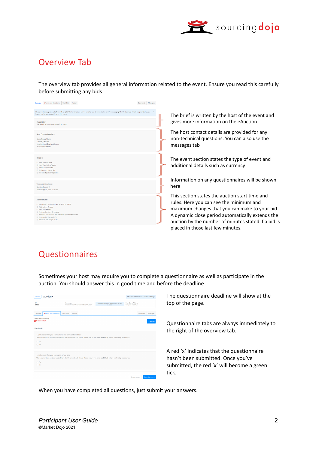

#### Overview Tab

The overview tab provides all general information related to the event. Ensure you read this carefully before submitting any bids.

| <b>x</b> Terms and Conditions Qual, Bids Auction<br>Overview                                                                                                                                                                                                                                                                            | Documents Messages |                                                                                                                                                                                                                                                                                             |
|-----------------------------------------------------------------------------------------------------------------------------------------------------------------------------------------------------------------------------------------------------------------------------------------------------------------------------------------|--------------------|---------------------------------------------------------------------------------------------------------------------------------------------------------------------------------------------------------------------------------------------------------------------------------------------|
| Please work through the tabs from left to right. The last two tabs can be used for any documentation and for messaging. The Host contact details are provided below<br>in case you have any questions on this event<br><b>Event Brief</b><br>The brief is written by the host of the event.                                             |                    | The brief is written by the host of the event and<br>gives more information on the eAuction                                                                                                                                                                                                 |
| <b>Host Contact Details</b><br>Name: Steve Williams<br>Company: Vext PLC<br>E-mail: ndhost1@marketdojo.com<br>Phone: 0117 2309047                                                                                                                                                                                                       |                    | The host contact details are provided for any<br>non-technical questions. You can also use the<br>messages tab                                                                                                                                                                              |
| Event $\odot$<br><b>C</b> Event Name: Auction<br><sup>1</sup> Event Type: Online Auction<br>10 Default Currency: GBP<br>1 Multi Currency event: No<br><sup>1</sup> Tied bids: Equal worst position                                                                                                                                      |                    | The event section states the type of event and<br>additional details such as currency                                                                                                                                                                                                       |
| <b>Terms and Conditions:</b><br>Question Quantity 2<br>Deadline: July 24, 2019 10:30 BST                                                                                                                                                                                                                                                |                    | Information on any questionnaires will be shown<br>here                                                                                                                                                                                                                                     |
| <b>Auction Rules</b><br>C Auction Start Time & Date: July 26, 2019 14:30 BST<br><b><i> G Bid Direction: Reverse</i></b><br><sup>1</sup> Event type: Ranked<br>10 Minimum Duration: 30 minutes<br>1 Dynamic Close Period: 5 minutes which applies to All bidders<br>1 Minimum Bid Change: 0.5%<br><sup>1</sup> Maximum Bid Change: 10.0% |                    | This section states the auction start time and<br>rules. Here you can see the minimum and<br>maximum changes that you can make to your bid.<br>A dynamic close period automatically extends the<br>auction by the number of minutes stated if a bid is<br>placed in those last few minutes. |

## **Questionnaires**

Sometimes your host may require you to complete a questionnaire as well as participate in the auction. You should answer this in good time and before the deadline.

| Auction <sup>a</sup><br>Current w                                                        |                                                                                                                                 |                                                           |                                             |                  | © Terms and Conditions Deadline: 3 days |
|------------------------------------------------------------------------------------------|---------------------------------------------------------------------------------------------------------------------------------|-----------------------------------------------------------|---------------------------------------------|------------------|-----------------------------------------|
| ID<br>51283                                                                              | Event type<br>Ouestionnaire + Qualification Bids + Auction                                                                      | Terms and Conditions Deadline: July 25, 2019<br>10:00 BST | Host : Steve Williams<br>Company : Vext PLC |                  |                                         |
| <b>*</b> Terms and Conditions<br>Overview                                                | Qual. Bids<br>Auction                                                                                                           |                                                           |                                             | <b>Documents</b> | Messages                                |
| <b>Terms and Conditions</b><br><b>Not Submitted</b>                                      |                                                                                                                                 |                                                           |                                             |                  | Download                                |
| 1) Section #1                                                                            |                                                                                                                                 |                                                           |                                             |                  |                                         |
| 1.1) Please confirm your acceptance of our terms and conditions<br>C Yes<br>$\bigcap$ No | The document can be downloaded from the Documents tab above. Please ensure you have read it fully before confirming acceptance. |                                                           |                                             |                  |                                         |
| 1.2) Please confirm your acceptance of our NDA<br>C Yes<br>$\bigcap$ No                  | The document can be downloaded from the Documents tab above. Please ensure you have read it fully before confirming acceptance. |                                                           |                                             |                  |                                         |
|                                                                                          |                                                                                                                                 |                                                           | Save progress                               |                  | Submit answers                          |

The questionnaire deadline will show at the top of the page.

Questionnaire tabs are always immediately to the right of the overview tab.

A red 'x' indicates that the questionnaire hasn't been submitted. Once you've submitted, the red 'x' will become a green tick.

When you have completed all questions, just submit your answers.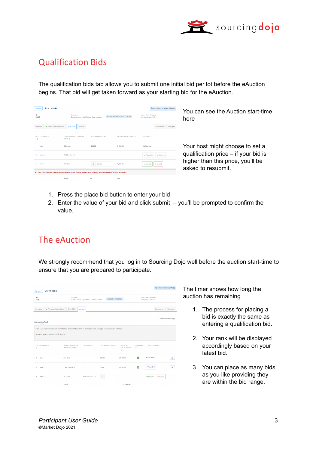

## Qualification Bids

The qualification bids tab allows you to submit one initial bid per lot before the eAuction begins. That bid will get taken forward as your starting bid for the eAuction.

| Auction <b>a</b><br>Current -<br>ID<br>51283                                                                                            | Event type<br>Questionnaire + Qualification Bids + Auction                   |                      | @ Auction Start: about 2 hours<br>Host : Steve Williams<br>Auction Start: July 22, 2019 12:30 BST<br>Company: Vext PLC |                                    |                              | You can see the Au<br>here                   |
|-----------------------------------------------------------------------------------------------------------------------------------------|------------------------------------------------------------------------------|----------------------|------------------------------------------------------------------------------------------------------------------------|------------------------------------|------------------------------|----------------------------------------------|
| ✔ Terms and Conditions<br>Overview<br>LOT LOT NAME @<br>$#$ $@$                                                                         | <b>Oual, Bids</b><br>Auction<br><b>OUANTITY X UNIT OF MEASURE</b><br>(UOM) ® | YOUR PRICE PER UOM @ | TOTAL LOT VALUE PLACED @                                                                                               | <b>BID STATUS ©</b>                | <b>Documents</b><br>Messages |                                              |
| Item 1<br>Item 2                                                                                                                        | 50 x Each<br>$1.500 \times Box$ of 6                                         | £30.00               | £1,500.00                                                                                                              | <b>Bid Received</b><br>✔ Place Bid | <b>x</b> Reject Lot          | Your host might cho<br>qualification price - |
| $\mathbf{a}$<br>Item 3<br>x Your bid does not meet the qualification price. Please amend your offer by approximately 10% and re-submit. | 10 y Fach                                                                    | 800.00               | £8,000.00                                                                                                              | ✔ Submit                           | <b>x</b> Cancel              | higher than this pric<br>asked to resubmit.  |
|                                                                                                                                         | Total                                                                        | n/a                  | n/a                                                                                                                    |                                    |                              |                                              |

ction start-time

ose to set a if your bid is e, you'll be

- 1. Press the place bid button to enter your bid
- 2. Enter the value of your bid and click submit you'll be prompted to confirm the value.

#### The eAuction

We strongly recommend that you log in to Sourcing Dojo well before the auction start-time to ensure that you are prepared to participate.

| Current +                   | Auction <sup>a</sup>                                                                                        |                                              |                     |                                                |                      |                                            | @ Time Remaining: 06:32 |                  |
|-----------------------------|-------------------------------------------------------------------------------------------------------------|----------------------------------------------|---------------------|------------------------------------------------|----------------------|--------------------------------------------|-------------------------|------------------|
| ID<br>51283                 | Event type                                                                                                  | Questionnaire + Qualification Bids + Auction | AUCTION IN PROGRESS |                                                |                      | Host : Steve Williams<br>Company: Vext PLC |                         |                  |
| Overview                    | ✔ Terms and Conditions<br>Qual. Bids                                                                        | Auction                                      |                     |                                                |                      |                                            | <b>Documents</b>        | Messages         |
| Live auction feed           |                                                                                                             |                                              |                     |                                                |                      |                                            |                         | Send New Message |
|                             | The Live Auction Feed will provide real-time notifications of messages and changes to the auction settings. |                                              |                     |                                                |                      |                                            |                         |                  |
|                             | Currently you have no notifications.                                                                        |                                              |                     |                                                |                      |                                            |                         |                  |
| LOT # LOT NAME @<br>$\circ$ | <b>OUANTITY X UNIT OF</b><br>MEASURE (UOM) @                                                                | <b>BID RANGE @</b>                           | YOUR BID PER UOM @  | <b>TOTAL LOT</b><br>VALUE PLACED<br>$^{\circ}$ | YOUR RANK<br>$\circ$ | ENTER NEW BID @                            |                         |                  |
| ٠<br>Item 1                 | 50 x Each                                                                                                   |                                              | £30.00              | £1,500.00                                      | n                    | <b>√Place Bid</b>                          |                         | <b>Last</b>      |
| 2<br>Item 2                 | $1.500 \times$ Box of 6                                                                                     |                                              | £4.00               | £6,000,00                                      | G                    | <b>√Place Bid</b>                          |                         | <b>Last</b>      |
| 3<br>Item 3                 | $10 \times$ Each                                                                                            | £522.00 - £577.10                            | $\pm$               | £                                              |                      | $\vee$ Submit                              | <b>x</b> Cancel         |                  |
|                             | Total                                                                                                       |                                              |                     | £13,300.00                                     |                      |                                            |                         |                  |

The timer shows how long the auction has remaining

- 1. The process for placing a bid is exactly the same as entering a qualification bid.
- 2. Your rank will be displayed accordingly based on your latest bid.
- 3. You can place as many bids as you like providing they are within the bid range.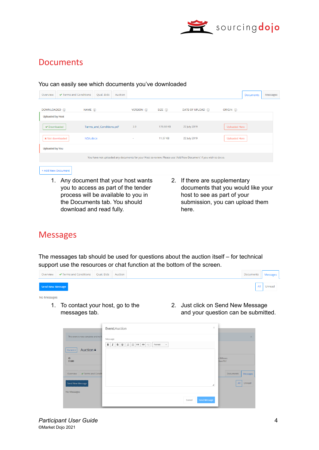

#### **Documents**

#### You can easily see which documents you've downloaded Overview ↓ ▼ Terms and Conditions Qual. Bids Auction Messages Documents VERSION (i) DOWNLOADED (i) NAME  $(i)$  $SIZE$  (i) DATE OF UPLOAD (i) ORIGIN (i) **Uploaded by Host** Downloaded Terms\_and\_Conditions.pdf  $2.0$ 178.68 KB 22 July 2019 Uploaded Here NDA.docx 11.37 KB 22 July 2019 Uploaded Here **x** Not downloaded **Uploaded by You** You have not uploaded any documents for your Host to review. Please use 'Add New Document' if you wish to do so. + Add New Document

- 1. Any document that your host wants you to access as part of the tender process will be available to you in the Documents tab. You should download and read fully.
- 2. If there are supplementary documents that you would like your host to see as part of your submission, you can upload them here.

## **Messages**

The messages tab should be used for questions about the auction itself – for technical support use the resources or chat function at the bottom of the screen.

|                  | Overview $\blacktriangleright$ Terms and Conditions Qual. Bids Auction |  | <b>Documents</b> | Messages |
|------------------|------------------------------------------------------------------------|--|------------------|----------|
| Send New Message |                                                                        |  | All              | Unread   |

#### No Messages

- 1. To contact your host, go to the messages tab.
- 2. Just click on Send New Message and your question can be submitted.

|                                         | $\times$<br>Event:Auction                                                                                                                              |                             |                  |          |
|-----------------------------------------|--------------------------------------------------------------------------------------------------------------------------------------------------------|-----------------------------|------------------|----------|
| This event is now complete and no ft    | Message                                                                                                                                                |                             |                  | $\times$ |
| Auction <sup>a</sup><br>Current $\star$ | $\mathbb{S}$<br>$\mathsf{u}$<br>$\frac{1}{2}$ $\frac{1}{2}$ $\frac{1}{2}$ $\frac{1}{2}$ $\frac{1}{2}$<br>$\downarrow$<br>в<br>I<br>$\bullet$<br>Format |                             |                  |          |
| ID<br>51283                             |                                                                                                                                                        | Williams<br><b>Vext PLC</b> |                  |          |
| ← Terms and Condit<br>Overview          |                                                                                                                                                        |                             | <b>Documents</b> | Messages |
| Send New Message                        | ◢                                                                                                                                                      |                             | All              | Unread   |
| No Messages                             |                                                                                                                                                        |                             |                  |          |
|                                         | Send Message<br>Cancel                                                                                                                                 |                             |                  |          |